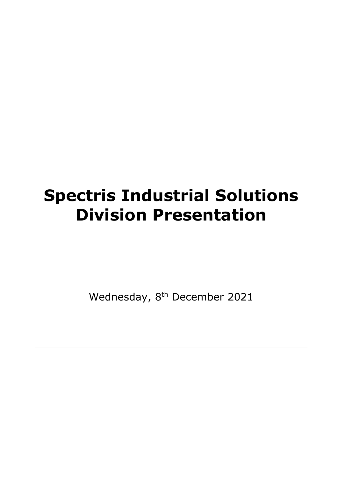# **Spectris Industrial Solutions Division Presentation**

Wednesday, 8<sup>th</sup> December 2021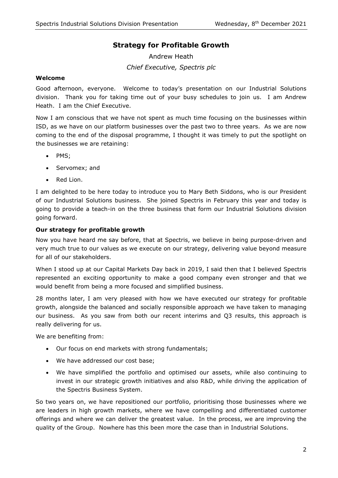# **Strategy for Profitable Growth**

Andrew Heath *Chief Executive, Spectris plc*

#### **Welcome**

Good afternoon, everyone. Welcome to today's presentation on our Industrial Solutions division. Thank you for taking time out of your busy schedules to join us. I am Andrew Heath. I am the Chief Executive.

Now I am conscious that we have not spent as much time focusing on the businesses within ISD, as we have on our platform businesses over the past two to three years. As we are now coming to the end of the disposal programme, I thought it was timely to put the spotlight on the businesses we are retaining:

- PMS;
- Servomex; and
- Red Lion.

I am delighted to be here today to introduce you to Mary Beth Siddons, who is our President of our Industrial Solutions business. She joined Spectris in February this year and today is going to provide a teach-in on the three business that form our Industrial Solutions division going forward.

#### **Our strategy for profitable growth**

Now you have heard me say before, that at Spectris, we believe in being purpose-driven and very much true to our values as we execute on our strategy, delivering value beyond measure for all of our stakeholders.

When I stood up at our Capital Markets Day back in 2019, I said then that I believed Spectris represented an exciting opportunity to make a good company even stronger and that we would benefit from being a more focused and simplified business.

28 months later, I am very pleased with how we have executed our strategy for profitable growth, alongside the balanced and socially responsible approach we have taken to managing our business. As you saw from both our recent interims and Q3 results, this approach is really delivering for us.

We are benefiting from:

- Our focus on end markets with strong fundamentals;
- We have addressed our cost base;
- We have simplified the portfolio and optimised our assets, while also continuing to invest in our strategic growth initiatives and also R&D, while driving the application of the Spectris Business System.

So two years on, we have repositioned our portfolio, prioritising those businesses where we are leaders in high growth markets, where we have compelling and differentiated customer offerings and where we can deliver the greatest value. In the process, we are improving the quality of the Group. Nowhere has this been more the case than in Industrial Solutions.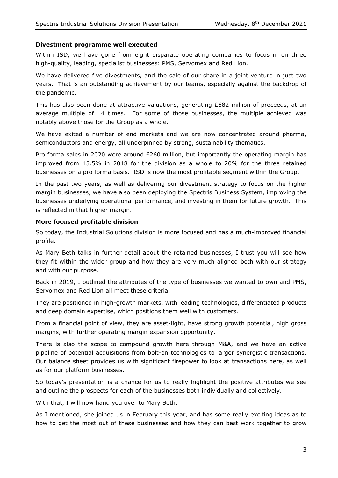#### **Divestment programme well executed**

Within ISD, we have gone from eight disparate operating companies to focus in on three high-quality, leading, specialist businesses: PMS, Servomex and Red Lion.

We have delivered five divestments, and the sale of our share in a joint venture in just two years. That is an outstanding achievement by our teams, especially against the backdrop of the pandemic.

This has also been done at attractive valuations, generating £682 million of proceeds, at an average multiple of 14 times. For some of those businesses, the multiple achieved was notably above those for the Group as a whole.

We have exited a number of end markets and we are now concentrated around pharma, semiconductors and energy, all underpinned by strong, sustainability thematics.

Pro forma sales in 2020 were around £260 million, but importantly the operating margin has improved from 15.5% in 2018 for the division as a whole to 20% for the three retained businesses on a pro forma basis. ISD is now the most profitable segment within the Group.

In the past two years, as well as delivering our divestment strategy to focus on the higher margin businesses, we have also been deploying the Spectris Business System, improving the businesses underlying operational performance, and investing in them for future growth. This is reflected in that higher margin.

#### **More focused profitable division**

So today, the Industrial Solutions division is more focused and has a much-improved financial profile.

As Mary Beth talks in further detail about the retained businesses, I trust you will see how they fit within the wider group and how they are very much aligned both with our strategy and with our purpose.

Back in 2019, I outlined the attributes of the type of businesses we wanted to own and PMS, Servomex and Red Lion all meet these criteria.

They are positioned in high-growth markets, with leading technologies, differentiated products and deep domain expertise, which positions them well with customers.

From a financial point of view, they are asset-light, have strong growth potential, high gross margins, with further operating margin expansion opportunity.

There is also the scope to compound growth here through M&A, and we have an active pipeline of potential acquisitions from bolt-on technologies to larger synergistic transactions. Our balance sheet provides us with significant firepower to look at transactions here, as well as for our platform businesses.

So today's presentation is a chance for us to really highlight the positive attributes we see and outline the prospects for each of the businesses both individually and collectively.

With that, I will now hand you over to Mary Beth.

As I mentioned, she joined us in February this year, and has some really exciting ideas as to how to get the most out of these businesses and how they can best work together to grow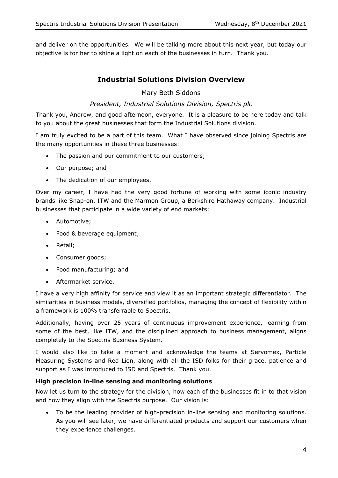and deliver on the opportunities. We will be talking more about this next year, but today our objective is for her to shine a light on each of the businesses in turn. Thank you.

# **Industrial Solutions Division Overview**

Mary Beth Siddons

## *President, Industrial Solutions Division, Spectris plc*

Thank you, Andrew, and good afternoon, everyone. It is a pleasure to be here today and talk to you about the great businesses that form the Industrial Solutions division.

I am truly excited to be a part of this team. What I have observed since joining Spectris are the many opportunities in these three businesses:

- The passion and our commitment to our customers;
- Our purpose; and
- The dedication of our employees.

Over my career, I have had the very good fortune of working with some iconic industry brands like Snap-on, ITW and the Marmon Group, a Berkshire Hathaway company. Industrial businesses that participate in a wide variety of end markets:

- Automotive;
- Food & beverage equipment:
- Retail;
- Consumer goods;
- Food manufacturing; and
- Aftermarket service.

I have a very high affinity for service and view it as an important strategic differentiator. The similarities in business models, diversified portfolios, managing the concept of flexibility within a framework is 100% transferrable to Spectris.

Additionally, having over 25 years of continuous improvement experience, learning from some of the best, like ITW, and the disciplined approach to business management, aligns completely to the Spectris Business System.

I would also like to take a moment and acknowledge the teams at Servomex, Particle Measuring Systems and Red Lion, along with all the ISD folks for their grace, patience and support as I was introduced to ISD and Spectris. Thank you.

#### **High precision in-line sensing and monitoring solutions**

Now let us turn to the strategy for the division, how each of the businesses fit in to that vision and how they align with the Spectris purpose. Our vision is:

• To be the leading provider of high-precision in-line sensing and monitoring solutions. As you will see later, we have differentiated products and support our customers when they experience challenges.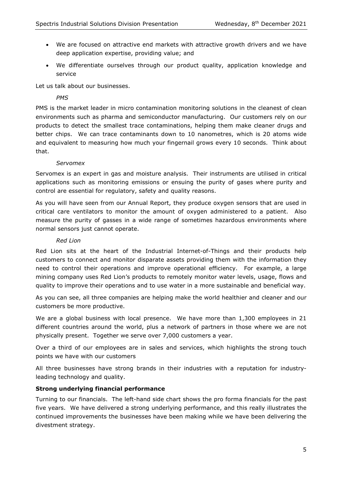- We are focused on attractive end markets with attractive growth drivers and we have deep application expertise, providing value; and
- We differentiate ourselves through our product quality, application knowledge and service

Let us talk about our businesses.

### *PMS*

PMS is the market leader in micro contamination monitoring solutions in the cleanest of clean environments such as pharma and semiconductor manufacturing. Our customers rely on our products to detect the smallest trace contaminations, helping them make cleaner drugs and better chips. We can trace contaminants down to 10 nanometres, which is 20 atoms wide and equivalent to measuring how much your fingernail grows every 10 seconds. Think about that.

#### *Servomex*

Servomex is an expert in gas and moisture analysis. Their instruments are utilised in critical applications such as monitoring emissions or ensuing the purity of gases where purity and control are essential for regulatory, safety and quality reasons.

As you will have seen from our Annual Report, they produce oxygen sensors that are used in critical care ventilators to monitor the amount of oxygen administered to a patient. Also measure the purity of gasses in a wide range of sometimes hazardous environments where normal sensors just cannot operate.

#### *Red Lion*

Red Lion sits at the heart of the Industrial Internet-of-Things and their products help customers to connect and monitor disparate assets providing them with the information they need to control their operations and improve operational efficiency. For example, a large mining company uses Red Lion's products to remotely monitor water levels, usage, flows and quality to improve their operations and to use water in a more sustainable and beneficial way.

As you can see, all three companies are helping make the world healthier and cleaner and our customers be more productive.

We are a global business with local presence. We have more than 1,300 employees in 21 different countries around the world, plus a network of partners in those where we are not physically present. Together we serve over 7,000 customers a year.

Over a third of our employees are in sales and services, which highlights the strong touch points we have with our customers

All three businesses have strong brands in their industries with a reputation for industryleading technology and quality.

#### **Strong underlying financial performance**

Turning to our financials. The left-hand side chart shows the pro forma financials for the past five years. We have delivered a strong underlying performance, and this really illustrates the continued improvements the businesses have been making while we have been delivering the divestment strategy.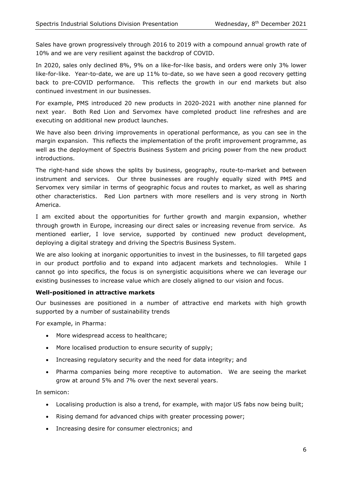Sales have grown progressively through 2016 to 2019 with a compound annual growth rate of 10% and we are very resilient against the backdrop of COVID.

In 2020, sales only declined 8%, 9% on a like-for-like basis, and orders were only 3% lower like-for-like. Year-to-date, we are up 11% to-date, so we have seen a good recovery getting back to pre-COVID performance. This reflects the growth in our end markets but also continued investment in our businesses.

For example, PMS introduced 20 new products in 2020-2021 with another nine planned for next year. Both Red Lion and Servomex have completed product line refreshes and are executing on additional new product launches.

We have also been driving improvements in operational performance, as you can see in the margin expansion. This reflects the implementation of the profit improvement programme, as well as the deployment of Spectris Business System and pricing power from the new product introductions.

The right-hand side shows the splits by business, geography, route-to-market and between instrument and services. Our three businesses are roughly equally sized with PMS and Servomex very similar in terms of geographic focus and routes to market, as well as sharing other characteristics. Red Lion partners with more resellers and is very strong in North America.

I am excited about the opportunities for further growth and margin expansion, whether through growth in Europe, increasing our direct sales or increasing revenue from service. As mentioned earlier, I love service, supported by continued new product development, deploying a digital strategy and driving the Spectris Business System.

We are also looking at inorganic opportunities to invest in the businesses, to fill targeted gaps in our product portfolio and to expand into adjacent markets and technologies. While I cannot go into specifics, the focus is on synergistic acquisitions where we can leverage our existing businesses to increase value which are closely aligned to our vision and focus.

#### **Well-positioned in attractive markets**

Our businesses are positioned in a number of attractive end markets with high growth supported by a number of sustainability trends

For example, in Pharma:

- More widespread access to healthcare;
- More localised production to ensure security of supply;
- Increasing regulatory security and the need for data integrity; and
- Pharma companies being more receptive to automation. We are seeing the market grow at around 5% and 7% over the next several years.

In semicon:

- Localising production is also a trend, for example, with major US fabs now being built;
- Rising demand for advanced chips with greater processing power;
- Increasing desire for consumer electronics; and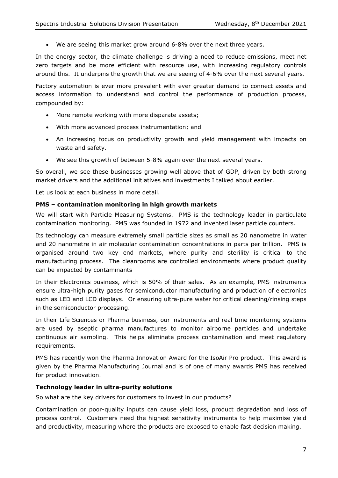• We are seeing this market grow around 6-8% over the next three years.

In the energy sector, the climate challenge is driving a need to reduce emissions, meet net zero targets and be more efficient with resource use, with increasing regulatory controls around this. It underpins the growth that we are seeing of 4-6% over the next several years.

Factory automation is ever more prevalent with ever greater demand to connect assets and access information to understand and control the performance of production process, compounded by:

- More remote working with more disparate assets;
- With more advanced process instrumentation; and
- An increasing focus on productivity growth and yield management with impacts on waste and safety.
- We see this growth of between 5-8% again over the next several years.

So overall, we see these businesses growing well above that of GDP, driven by both strong market drivers and the additional initiatives and investments I talked about earlier.

Let us look at each business in more detail.

#### **PMS – contamination monitoring in high growth markets**

We will start with Particle Measuring Systems. PMS is the technology leader in particulate contamination monitoring. PMS was founded in 1972 and invented laser particle counters.

Its technology can measure extremely small particle sizes as small as 20 nanometre in water and 20 nanometre in air molecular contamination concentrations in parts per trillion. PMS is organised around two key end markets, where purity and sterility is critical to the manufacturing process. The cleanrooms are controlled environments where product quality can be impacted by contaminants

In their Electronics business, which is 50% of their sales. As an example, PMS instruments ensure ultra-high purity gases for semiconductor manufacturing and production of electronics such as LED and LCD displays. Or ensuring ultra-pure water for critical cleaning/rinsing steps in the semiconductor processing.

In their Life Sciences or Pharma business, our instruments and real time monitoring systems are used by aseptic pharma manufactures to monitor airborne particles and undertake continuous air sampling. This helps eliminate process contamination and meet regulatory requirements.

PMS has recently won the Pharma Innovation Award for the IsoAir Pro product. This award is given by the Pharma Manufacturing Journal and is of one of many awards PMS has received for product innovation.

#### **Technology leader in ultra-purity solutions**

So what are the key drivers for customers to invest in our products?

Contamination or poor-quality inputs can cause yield loss, product degradation and loss of process control. Customers need the highest sensitivity instruments to help maximise yield and productivity, measuring where the products are exposed to enable fast decision making.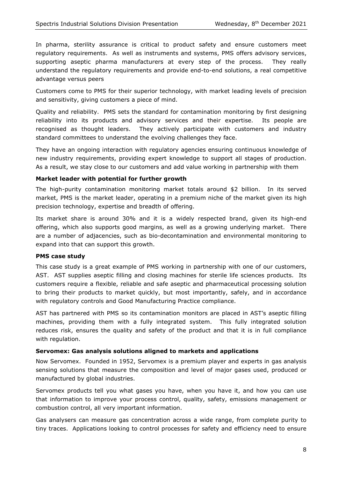In pharma, sterility assurance is critical to product safety and ensure customers meet regulatory requirements. As well as instruments and systems, PMS offers advisory services, supporting aseptic pharma manufacturers at every step of the process. They really understand the regulatory requirements and provide end-to-end solutions, a real competitive advantage versus peers

Customers come to PMS for their superior technology, with market leading levels of precision and sensitivity, giving customers a piece of mind.

Quality and reliability. PMS sets the standard for contamination monitoring by first designing reliability into its products and advisory services and their expertise. Its people are recognised as thought leaders. They actively participate with customers and industry standard committees to understand the evolving challenges they face.

They have an ongoing interaction with regulatory agencies ensuring continuous knowledge of new industry requirements, providing expert knowledge to support all stages of production. As a result, we stay close to our customers and add value working in partnership with them

#### **Market leader with potential for further growth**

The high-purity contamination monitoring market totals around \$2 billion. In its served market, PMS is the market leader, operating in a premium niche of the market given its high precision technology, expertise and breadth of offering.

Its market share is around 30% and it is a widely respected brand, given its high-end offering, which also supports good margins, as well as a growing underlying market. There are a number of adjacencies, such as bio-decontamination and environmental monitoring to expand into that can support this growth.

#### **PMS case study**

This case study is a great example of PMS working in partnership with one of our customers, AST. AST supplies aseptic filling and closing machines for sterile life sciences products. Its customers require a flexible, reliable and safe aseptic and pharmaceutical processing solution to bring their products to market quickly, but most importantly, safely, and in accordance with regulatory controls and Good Manufacturing Practice compliance.

AST has partnered with PMS so its contamination monitors are placed in AST's aseptic filling machines, providing them with a fully integrated system. This fully integrated solution reduces risk, ensures the quality and safety of the product and that it is in full compliance with regulation.

#### **Servomex: Gas analysis solutions aligned to markets and applications**

Now Servomex. Founded in 1952, Servomex is a premium player and experts in gas analysis sensing solutions that measure the composition and level of major gases used, produced or manufactured by global industries.

Servomex products tell you what gases you have, when you have it, and how you can use that information to improve your process control, quality, safety, emissions management or combustion control, all very important information.

Gas analysers can measure gas concentration across a wide range, from complete purity to tiny traces. Applications looking to control processes for safety and efficiency need to ensure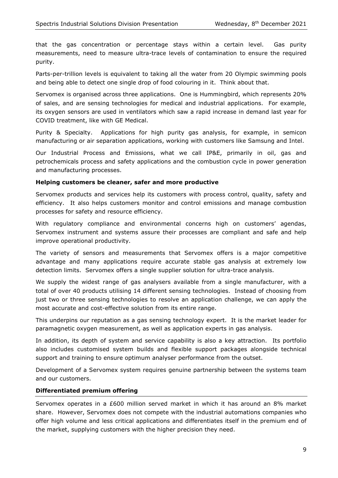that the gas concentration or percentage stays within a certain level. Gas purity measurements, need to measure ultra-trace levels of contamination to ensure the required purity.

Parts-per-trillion levels is equivalent to taking all the water from 20 Olympic swimming pools and being able to detect one single drop of food colouring in it. Think about that.

Servomex is organised across three applications. One is Hummingbird, which represents 20% of sales, and are sensing technologies for medical and industrial applications. For example, its oxygen sensors are used in ventilators which saw a rapid increase in demand last year for COVID treatment, like with GE Medical.

Purity & Specialty. Applications for high purity gas analysis, for example, in semicon manufacturing or air separation applications, working with customers like Samsung and Intel.

Our Industrial Process and Emissions, what we call IP&E, primarily in oil, gas and petrochemicals process and safety applications and the combustion cycle in power generation and manufacturing processes.

#### **Helping customers be cleaner, safer and more productive**

Servomex products and services help its customers with process control, quality, safety and efficiency. It also helps customers monitor and control emissions and manage combustion processes for safety and resource efficiency.

With regulatory compliance and environmental concerns high on customers' agendas, Servomex instrument and systems assure their processes are compliant and safe and help improve operational productivity.

The variety of sensors and measurements that Servomex offers is a major competitive advantage and many applications require accurate stable gas analysis at extremely low detection limits. Servomex offers a single supplier solution for ultra-trace analysis.

We supply the widest range of gas analysers available from a single manufacturer, with a total of over 40 products utilising 14 different sensing technologies. Instead of choosing from just two or three sensing technologies to resolve an application challenge, we can apply the most accurate and cost-effective solution from its entire range.

This underpins our reputation as a gas sensing technology expert. It is the market leader for paramagnetic oxygen measurement, as well as application experts in gas analysis.

In addition, its depth of system and service capability is also a key attraction. Its portfolio also includes customised system builds and flexible support packages alongside technical support and training to ensure optimum analyser performance from the outset.

Development of a Servomex system requires genuine partnership between the systems team and our customers.

#### **Differentiated premium offering**

Servomex operates in a £600 million served market in which it has around an 8% market share. However, Servomex does not compete with the industrial automations companies who offer high volume and less critical applications and differentiates itself in the premium end of the market, supplying customers with the higher precision they need.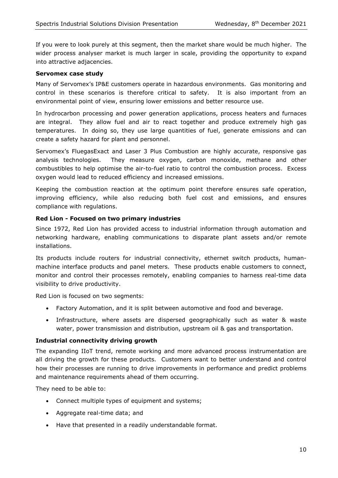If you were to look purely at this segment, then the market share would be much higher. The wider process analyser market is much larger in scale, providing the opportunity to expand into attractive adjacencies.

#### **Servomex case study**

Many of Servomex's IP&E customers operate in hazardous environments. Gas monitoring and control in these scenarios is therefore critical to safety. It is also important from an environmental point of view, ensuring lower emissions and better resource use.

In hydrocarbon processing and power generation applications, process heaters and furnaces are integral. They allow fuel and air to react together and produce extremely high gas temperatures. In doing so, they use large quantities of fuel, generate emissions and can create a safety hazard for plant and personnel.

Servomex's FluegasExact and Laser 3 Plus Combustion are highly accurate, responsive gas analysis technologies. They measure oxygen, carbon monoxide, methane and other combustibles to help optimise the air-to-fuel ratio to control the combustion process. Excess oxygen would lead to reduced efficiency and increased emissions.

Keeping the combustion reaction at the optimum point therefore ensures safe operation, improving efficiency, while also reducing both fuel cost and emissions, and ensures compliance with regulations.

### **Red Lion - Focused on two primary industries**

Since 1972, Red Lion has provided access to industrial information through automation and networking hardware, enabling communications to disparate plant assets and/or remote installations.

Its products include routers for industrial connectivity, ethernet switch products, humanmachine interface products and panel meters. These products enable customers to connect, monitor and control their processes remotely, enabling companies to harness real-time data visibility to drive productivity.

Red Lion is focused on two segments:

- Factory Automation, and it is split between automotive and food and beverage.
- Infrastructure, where assets are dispersed geographically such as water & waste water, power transmission and distribution, upstream oil & gas and transportation.

#### **Industrial connectivity driving growth**

The expanding IIoT trend, remote working and more advanced process instrumentation are all driving the growth for these products. Customers want to better understand and control how their processes are running to drive improvements in performance and predict problems and maintenance requirements ahead of them occurring.

They need to be able to:

- Connect multiple types of equipment and systems;
- Aggregate real-time data; and
- Have that presented in a readily understandable format.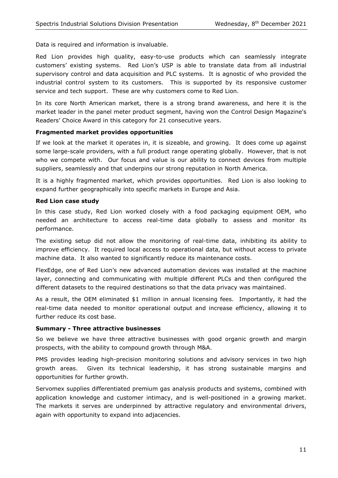Data is required and information is invaluable.

Red Lion provides high quality, easy-to-use products which can seamlessly integrate customers' existing systems. Red Lion's USP is able to translate data from all industrial supervisory control and data acquisition and PLC systems. It is agnostic of who provided the industrial control system to its customers. This is supported by its responsive customer service and tech support. These are why customers come to Red Lion.

In its core North American market, there is a strong brand awareness, and here it is the market leader in the panel meter product segment, having won the Control Design Magazine's Readers' Choice Award in this category for 21 consecutive years.

#### **Fragmented market provides opportunities**

If we look at the market it operates in, it is sizeable, and growing. It does come up against some large-scale providers, with a full product range operating globally. However, that is not who we compete with. Our focus and value is our ability to connect devices from multiple suppliers, seamlessly and that underpins our strong reputation in North America.

It is a highly fragmented market, which provides opportunities. Red Lion is also looking to expand further geographically into specific markets in Europe and Asia.

#### **Red Lion case study**

In this case study, Red Lion worked closely with a food packaging equipment OEM, who needed an architecture to access real-time data globally to assess and monitor its performance.

The existing setup did not allow the monitoring of real-time data, inhibiting its ability to improve efficiency. It required local access to operational data, but without access to private machine data. It also wanted to significantly reduce its maintenance costs.

FlexEdge, one of Red Lion's new advanced automation devices was installed at the machine layer, connecting and communicating with multiple different PLCs and then configured the different datasets to the required destinations so that the data privacy was maintained.

As a result, the OEM eliminated \$1 million in annual licensing fees. Importantly, it had the real-time data needed to monitor operational output and increase efficiency, allowing it to further reduce its cost base.

#### **Summary - Three attractive businesses**

So we believe we have three attractive businesses with good organic growth and margin prospects, with the ability to compound growth through M&A.

PMS provides leading high-precision monitoring solutions and advisory services in two high growth areas. Given its technical leadership, it has strong sustainable margins and opportunities for further growth.

Servomex supplies differentiated premium gas analysis products and systems, combined with application knowledge and customer intimacy, and is well-positioned in a growing market. The markets it serves are underpinned by attractive regulatory and environmental drivers, again with opportunity to expand into adjacencies.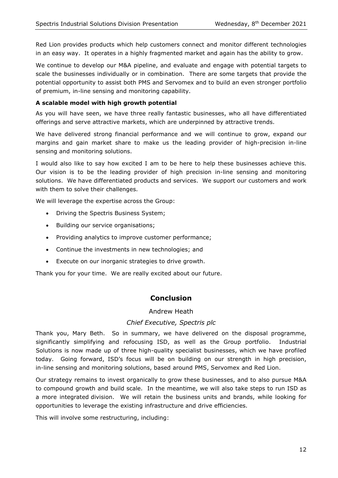Red Lion provides products which help customers connect and monitor different technologies in an easy way. It operates in a highly fragmented market and again has the ability to grow.

We continue to develop our M&A pipeline, and evaluate and engage with potential targets to scale the businesses individually or in combination. There are some targets that provide the potential opportunity to assist both PMS and Servomex and to build an even stronger portfolio of premium, in-line sensing and monitoring capability.

## **A scalable model with high growth potential**

As you will have seen, we have three really fantastic businesses, who all have differentiated offerings and serve attractive markets, which are underpinned by attractive trends.

We have delivered strong financial performance and we will continue to grow, expand our margins and gain market share to make us the leading provider of high-precision in-line sensing and monitoring solutions.

I would also like to say how excited I am to be here to help these businesses achieve this. Our vision is to be the leading provider of high precision in-line sensing and monitoring solutions. We have differentiated products and services. We support our customers and work with them to solve their challenges.

We will leverage the expertise across the Group:

- Driving the Spectris Business System;
- Building our service organisations;
- Providing analytics to improve customer performance;
- Continue the investments in new technologies; and
- Execute on our inorganic strategies to drive growth.

Thank you for your time. We are really excited about our future.

## **Conclusion**

Andrew Heath

#### *Chief Executive, Spectris plc*

Thank you, Mary Beth. So in summary, we have delivered on the disposal programme, significantly simplifying and refocusing ISD, as well as the Group portfolio. Industrial Solutions is now made up of three high-quality specialist businesses, which we have profiled today. Going forward, ISD's focus will be on building on our strength in high precision, in-line sensing and monitoring solutions, based around PMS, Servomex and Red Lion.

Our strategy remains to invest organically to grow these businesses, and to also pursue M&A to compound growth and build scale. In the meantime, we will also take steps to run ISD as a more integrated division. We will retain the business units and brands, while looking for opportunities to leverage the existing infrastructure and drive efficiencies.

This will involve some restructuring, including: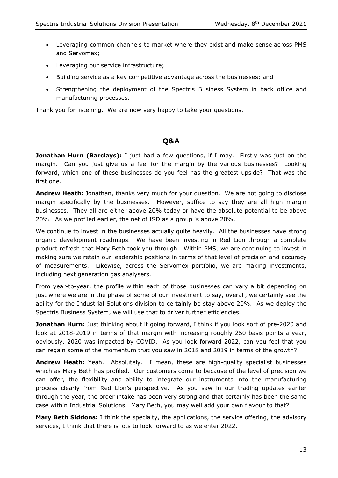- Leveraging common channels to market where they exist and make sense across PMS and Servomex;
- Leveraging our service infrastructure;
- Building service as a key competitive advantage across the businesses; and
- Strengthening the deployment of the Spectris Business System in back office and manufacturing processes.

Thank you for listening. We are now very happy to take your questions.

## **Q&A**

**Jonathan Hurn (Barclays):** I just had a few questions, if I may. Firstly was just on the margin. Can you just give us a feel for the margin by the various businesses? Looking forward, which one of these businesses do you feel has the greatest upside? That was the first one.

**Andrew Heath:** Jonathan, thanks very much for your question. We are not going to disclose margin specifically by the businesses. However, suffice to say they are all high margin businesses. They all are either above 20% today or have the absolute potential to be above 20%. As we profiled earlier, the net of ISD as a group is above 20%.

We continue to invest in the businesses actually quite heavily. All the businesses have strong organic development roadmaps. We have been investing in Red Lion through a complete product refresh that Mary Beth took you through. Within PMS, we are continuing to invest in making sure we retain our leadership positions in terms of that level of precision and accuracy of measurements. Likewise, across the Servomex portfolio, we are making investments, including next generation gas analysers.

From year-to-year, the profile within each of those businesses can vary a bit depending on just where we are in the phase of some of our investment to say, overall, we certainly see the ability for the Industrial Solutions division to certainly be stay above 20%. As we deploy the Spectris Business System, we will use that to driver further efficiencies.

**Jonathan Hurn:** Just thinking about it going forward, I think if you look sort of pre-2020 and look at 2018-2019 in terms of that margin with increasing roughly 250 basis points a year, obviously, 2020 was impacted by COVID. As you look forward 2022, can you feel that you can regain some of the momentum that you saw in 2018 and 2019 in terms of the growth?

**Andrew Heath:** Yeah. Absolutely. I mean, these are high-quality specialist businesses which as Mary Beth has profiled. Our customers come to because of the level of precision we can offer, the flexibility and ability to integrate our instruments into the manufacturing process clearly from Red Lion's perspective. As you saw in our trading updates earlier through the year, the order intake has been very strong and that certainly has been the same case within Industrial Solutions. Mary Beth, you may well add your own flavour to that?

**Mary Beth Siddons:** I think the specialty, the applications, the service offering, the advisory services, I think that there is lots to look forward to as we enter 2022.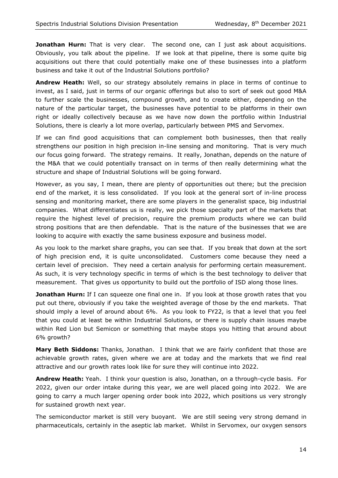Jonathan Hurn: That is very clear. The second one, can I just ask about acquisitions. Obviously, you talk about the pipeline. If we look at that pipeline, there is some quite big acquisitions out there that could potentially make one of these businesses into a platform business and take it out of the Industrial Solutions portfolio?

**Andrew Heath:** Well, so our strategy absolutely remains in place in terms of continue to invest, as I said, just in terms of our organic offerings but also to sort of seek out good M&A to further scale the businesses, compound growth, and to create either, depending on the nature of the particular target, the businesses have potential to be platforms in their own right or ideally collectively because as we have now down the portfolio within Industrial Solutions, there is clearly a lot more overlap, particularly between PMS and Servomex.

If we can find good acquisitions that can complement both businesses, then that really strengthens our position in high precision in-line sensing and monitoring. That is very much our focus going forward. The strategy remains. It really, Jonathan, depends on the nature of the M&A that we could potentially transact on in terms of then really determining what the structure and shape of Industrial Solutions will be going forward.

However, as you say, I mean, there are plenty of opportunities out there; but the precision end of the market, it is less consolidated. If you look at the general sort of in-line process sensing and monitoring market, there are some players in the generalist space, big industrial companies. What differentiates us is really, we pick those specialty part of the markets that require the highest level of precision, require the premium products where we can build strong positions that are then defendable. That is the nature of the businesses that we are looking to acquire with exactly the same business exposure and business model.

As you look to the market share graphs, you can see that. If you break that down at the sort of high precision end, it is quite unconsolidated. Customers come because they need a certain level of precision. They need a certain analysis for performing certain measurement. As such, it is very technology specific in terms of which is the best technology to deliver that measurement. That gives us opportunity to build out the portfolio of ISD along those lines.

**Jonathan Hurn:** If I can squeeze one final one in. If you look at those growth rates that you put out there, obviously if you take the weighted average of those by the end markets. That should imply a level of around about 6%. As you look to FY22, is that a level that you feel that you could at least be within Industrial Solutions, or there is supply chain issues maybe within Red Lion but Semicon or something that maybe stops you hitting that around about 6% growth?

**Mary Beth Siddons:** Thanks, Jonathan. I think that we are fairly confident that those are achievable growth rates, given where we are at today and the markets that we find real attractive and our growth rates look like for sure they will continue into 2022.

**Andrew Heath:** Yeah. I think your question is also, Jonathan, on a through-cycle basis. For 2022, given our order intake during this year, we are well placed going into 2022. We are going to carry a much larger opening order book into 2022, which positions us very strongly for sustained growth next year.

The semiconductor market is still very buoyant. We are still seeing very strong demand in pharmaceuticals, certainly in the aseptic lab market. Whilst in Servomex, our oxygen sensors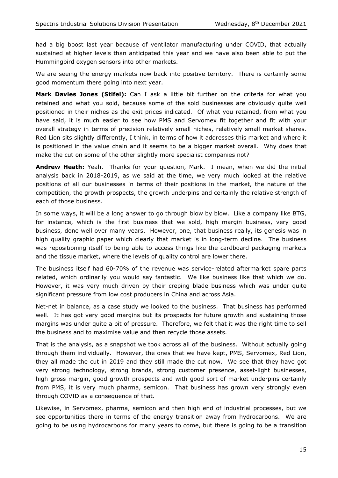had a big boost last year because of ventilator manufacturing under COVID, that actually sustained at higher levels than anticipated this year and we have also been able to put the Hummingbird oxygen sensors into other markets.

We are seeing the energy markets now back into positive territory. There is certainly some good momentum there going into next year.

**Mark Davies Jones (Stifel):** Can I ask a little bit further on the criteria for what you retained and what you sold, because some of the sold businesses are obviously quite well positioned in their niches as the exit prices indicated. Of what you retained, from what you have said, it is much easier to see how PMS and Servomex fit together and fit with your overall strategy in terms of precision relatively small niches, relatively small market shares. Red Lion sits slightly differently, I think, in terms of how it addresses this market and where it is positioned in the value chain and it seems to be a bigger market overall. Why does that make the cut on some of the other slightly more specialist companies not?

**Andrew Heath:** Yeah. Thanks for your question, Mark. I mean, when we did the initial analysis back in 2018-2019, as we said at the time, we very much looked at the relative positions of all our businesses in terms of their positions in the market, the nature of the competition, the growth prospects, the growth underpins and certainly the relative strength of each of those business.

In some ways, it will be a long answer to go through blow by blow. Like a company like BTG, for instance, which is the first business that we sold, high margin business, very good business, done well over many years. However, one, that business really, its genesis was in high quality graphic paper which clearly that market is in long-term decline. The business was repositioning itself to being able to access things like the cardboard packaging markets and the tissue market, where the levels of quality control are lower there.

The business itself had 60-70% of the revenue was service-related aftermarket spare parts related, which ordinarily you would say fantastic. We like business like that which we do. However, it was very much driven by their creping blade business which was under quite significant pressure from low cost producers in China and across Asia.

Net-net in balance, as a case study we looked to the business. That business has performed well. It has got very good margins but its prospects for future growth and sustaining those margins was under quite a bit of pressure. Therefore, we felt that it was the right time to sell the business and to maximise value and then recycle those assets.

That is the analysis, as a snapshot we took across all of the business. Without actually going through them individually. However, the ones that we have kept, PMS, Servomex, Red Lion, they all made the cut in 2019 and they still made the cut now. We see that they have got very strong technology, strong brands, strong customer presence, asset-light businesses, high gross margin, good growth prospects and with good sort of market underpins certainly from PMS, it is very much pharma, semicon. That business has grown very strongly even through COVID as a consequence of that.

Likewise, in Servomex, pharma, semicon and then high end of industrial processes, but we see opportunities there in terms of the energy transition away from hydrocarbons. We are going to be using hydrocarbons for many years to come, but there is going to be a transition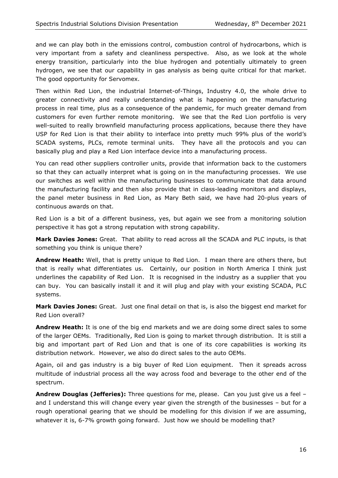and we can play both in the emissions control, combustion control of hydrocarbons, which is very important from a safety and cleanliness perspective. Also, as we look at the whole energy transition, particularly into the blue hydrogen and potentially ultimately to green hydrogen, we see that our capability in gas analysis as being quite critical for that market. The good opportunity for Servomex.

Then within Red Lion, the industrial Internet-of-Things, Industry 4.0, the whole drive to greater connectivity and really understanding what is happening on the manufacturing process in real time, plus as a consequence of the pandemic, for much greater demand from customers for even further remote monitoring. We see that the Red Lion portfolio is very well-suited to really brownfield manufacturing process applications, because there they have USP for Red Lion is that their ability to interface into pretty much 99% plus of the world's SCADA systems, PLCs, remote terminal units. They have all the protocols and you can basically plug and play a Red Lion interface device into a manufacturing process.

You can read other suppliers controller units, provide that information back to the customers so that they can actually interpret what is going on in the manufacturing processes. We use our switches as well within the manufacturing businesses to communicate that data around the manufacturing facility and then also provide that in class-leading monitors and displays, the panel meter business in Red Lion, as Mary Beth said, we have had 20-plus years of continuous awards on that.

Red Lion is a bit of a different business, yes, but again we see from a monitoring solution perspective it has got a strong reputation with strong capability.

**Mark Davies Jones:** Great. That ability to read across all the SCADA and PLC inputs, is that something you think is unique there?

**Andrew Heath:** Well, that is pretty unique to Red Lion. I mean there are others there, but that is really what differentiates us. Certainly, our position in North America I think just underlines the capability of Red Lion. It is recognised in the industry as a supplier that you can buy. You can basically install it and it will plug and play with your existing SCADA, PLC systems.

**Mark Davies Jones:** Great. Just one final detail on that is, is also the biggest end market for Red Lion overall?

**Andrew Heath:** It is one of the big end markets and we are doing some direct sales to some of the larger OEMs. Traditionally, Red Lion is going to market through distribution. It is still a big and important part of Red Lion and that is one of its core capabilities is working its distribution network. However, we also do direct sales to the auto OEMs.

Again, oil and gas industry is a big buyer of Red Lion equipment. Then it spreads across multitude of industrial process all the way across food and beverage to the other end of the spectrum.

**Andrew Douglas (Jefferies):** Three questions for me, please. Can you just give us a feel – and I understand this will change every year given the strength of the businesses – but for a rough operational gearing that we should be modelling for this division if we are assuming, whatever it is, 6-7% growth going forward. Just how we should be modelling that?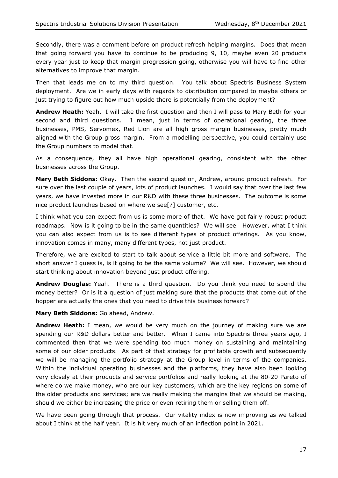Secondly, there was a comment before on product refresh helping margins. Does that mean that going forward you have to continue to be producing 9, 10, maybe even 20 products every year just to keep that margin progression going, otherwise you will have to find other alternatives to improve that margin.

Then that leads me on to my third question. You talk about Spectris Business System deployment. Are we in early days with regards to distribution compared to maybe others or just trying to figure out how much upside there is potentially from the deployment?

**Andrew Heath:** Yeah. I will take the first question and then I will pass to Mary Beth for your second and third questions. I mean, just in terms of operational gearing, the three businesses, PMS, Servomex, Red Lion are all high gross margin businesses, pretty much aligned with the Group gross margin. From a modelling perspective, you could certainly use the Group numbers to model that.

As a consequence, they all have high operational gearing, consistent with the other businesses across the Group.

**Mary Beth Siddons:** Okay. Then the second question, Andrew, around product refresh. For sure over the last couple of years, lots of product launches. I would say that over the last few years, we have invested more in our R&D with these three businesses. The outcome is some nice product launches based on where we see[?] customer, etc.

I think what you can expect from us is some more of that. We have got fairly robust product roadmaps. Now is it going to be in the same quantities? We will see. However, what I think you can also expect from us is to see different types of product offerings. As you know, innovation comes in many, many different types, not just product.

Therefore, we are excited to start to talk about service a little bit more and software. The short answer I guess is, is it going to be the same volume? We will see. However, we should start thinking about innovation beyond just product offering.

**Andrew Douglas:** Yeah. There is a third question. Do you think you need to spend the money better? Or is it a question of just making sure that the products that come out of the hopper are actually the ones that you need to drive this business forward?

**Mary Beth Siddons:** Go ahead, Andrew.

**Andrew Heath:** I mean, we would be very much on the journey of making sure we are spending our R&D dollars better and better. When I came into Spectris three years ago, I commented then that we were spending too much money on sustaining and maintaining some of our older products. As part of that strategy for profitable growth and subsequently we will be managing the portfolio strategy at the Group level in terms of the companies. Within the individual operating businesses and the platforms, they have also been looking very closely at their products and service portfolios and really looking at the 80-20 Pareto of where do we make money, who are our key customers, which are the key regions on some of the older products and services; are we really making the margins that we should be making, should we either be increasing the price or even retiring them or selling them off.

We have been going through that process. Our vitality index is now improving as we talked about I think at the half year. It is hit very much of an inflection point in 2021.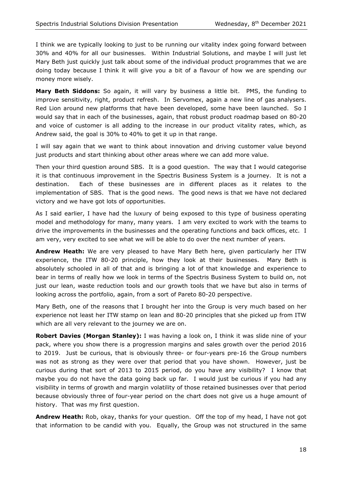I think we are typically looking to just to be running our vitality index going forward between 30% and 40% for all our businesses. Within Industrial Solutions, and maybe I will just let Mary Beth just quickly just talk about some of the individual product programmes that we are doing today because I think it will give you a bit of a flavour of how we are spending our money more wisely.

**Mary Beth Siddons:** So again, it will vary by business a little bit. PMS, the funding to improve sensitivity, right, product refresh. In Servomex, again a new line of gas analysers. Red Lion around new platforms that have been developed, some have been launched. So I would say that in each of the businesses, again, that robust product roadmap based on 80-20 and voice of customer is all adding to the increase in our product vitality rates, which, as Andrew said, the goal is 30% to 40% to get it up in that range.

I will say again that we want to think about innovation and driving customer value beyond just products and start thinking about other areas where we can add more value.

Then your third question around SBS. It is a good question. The way that I would categorise it is that continuous improvement in the Spectris Business System is a journey. It is not a destination. Each of these businesses are in different places as it relates to the implementation of SBS. That is the good news. The good news is that we have not declared victory and we have got lots of opportunities.

As I said earlier, I have had the luxury of being exposed to this type of business operating model and methodology for many, many years. I am very excited to work with the teams to drive the improvements in the businesses and the operating functions and back offices, etc. I am very, very excited to see what we will be able to do over the next number of years.

**Andrew Heath:** We are very pleased to have Mary Beth here, given particularly her ITW experience, the ITW 80-20 principle, how they look at their businesses. Mary Beth is absolutely schooled in all of that and is bringing a lot of that knowledge and experience to bear in terms of really how we look in terms of the Spectris Business System to build on, not just our lean, waste reduction tools and our growth tools that we have but also in terms of looking across the portfolio, again, from a sort of Pareto 80-20 perspective.

Mary Beth, one of the reasons that I brought her into the Group is very much based on her experience not least her ITW stamp on lean and 80-20 principles that she picked up from ITW which are all very relevant to the journey we are on.

**Robert Davies (Morgan Stanley):** I was having a look on, I think it was slide nine of your pack, where you show there is a progression margins and sales growth over the period 2016 to 2019. Just be curious, that is obviously three- or four-years pre-16 the Group numbers was not as strong as they were over that period that you have shown. However, just be curious during that sort of 2013 to 2015 period, do you have any visibility? I know that maybe you do not have the data going back up far. I would just be curious if you had any visibility in terms of growth and margin volatility of those retained businesses over that period because obviously three of four-year period on the chart does not give us a huge amount of history. That was my first question.

**Andrew Heath:** Rob, okay, thanks for your question. Off the top of my head, I have not got that information to be candid with you. Equally, the Group was not structured in the same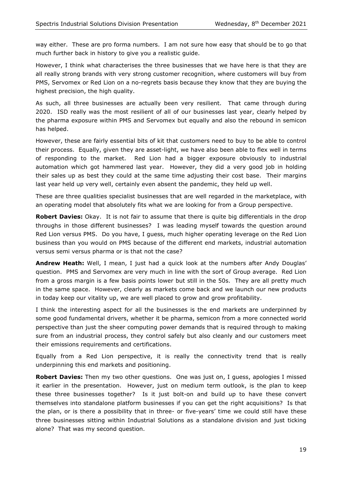way either. These are pro forma numbers. I am not sure how easy that should be to go that much further back in history to give you a realistic guide.

However, I think what characterises the three businesses that we have here is that they are all really strong brands with very strong customer recognition, where customers will buy from PMS, Servomex or Red Lion on a no-regrets basis because they know that they are buying the highest precision, the high quality.

As such, all three businesses are actually been very resilient. That came through during 2020. ISD really was the most resilient of all of our businesses last year, clearly helped by the pharma exposure within PMS and Servomex but equally and also the rebound in semicon has helped.

However, these are fairly essential bits of kit that customers need to buy to be able to control their process. Equally, given they are asset-light, we have also been able to flex well in terms of responding to the market. Red Lion had a bigger exposure obviously to industrial automation which got hammered last year. However, they did a very good job in holding their sales up as best they could at the same time adjusting their cost base. Their margins last year held up very well, certainly even absent the pandemic, they held up well.

These are three qualities specialist businesses that are well regarded in the marketplace, with an operating model that absolutely fits what we are looking for from a Group perspective.

**Robert Davies:** Okay. It is not fair to assume that there is quite big differentials in the drop throughs in those different businesses? I was leading myself towards the question around Red Lion versus PMS. Do you have, I guess, much higher operating leverage on the Red Lion business than you would on PMS because of the different end markets, industrial automation versus semi versus pharma or is that not the case?

**Andrew Heath:** Well, I mean, I just had a quick look at the numbers after Andy Douglas' question. PMS and Servomex are very much in line with the sort of Group average. Red Lion from a gross margin is a few basis points lower but still in the 50s. They are all pretty much in the same space. However, clearly as markets come back and we launch our new products in today keep our vitality up, we are well placed to grow and grow profitability.

I think the interesting aspect for all the businesses is the end markets are underpinned by some good fundamental drivers, whether it be pharma, semicon from a more connected world perspective than just the sheer computing power demands that is required through to making sure from an industrial process, they control safely but also cleanly and our customers meet their emissions requirements and certifications.

Equally from a Red Lion perspective, it is really the connectivity trend that is really underpinning this end markets and positioning.

**Robert Davies:** Then my two other questions. One was just on, I guess, apologies I missed it earlier in the presentation. However, just on medium term outlook, is the plan to keep these three businesses together? Is it just bolt-on and build up to have these convert themselves into standalone platform businesses if you can get the right acquisitions? Is that the plan, or is there a possibility that in three- or five-years' time we could still have these three businesses sitting within Industrial Solutions as a standalone division and just ticking alone? That was my second question.